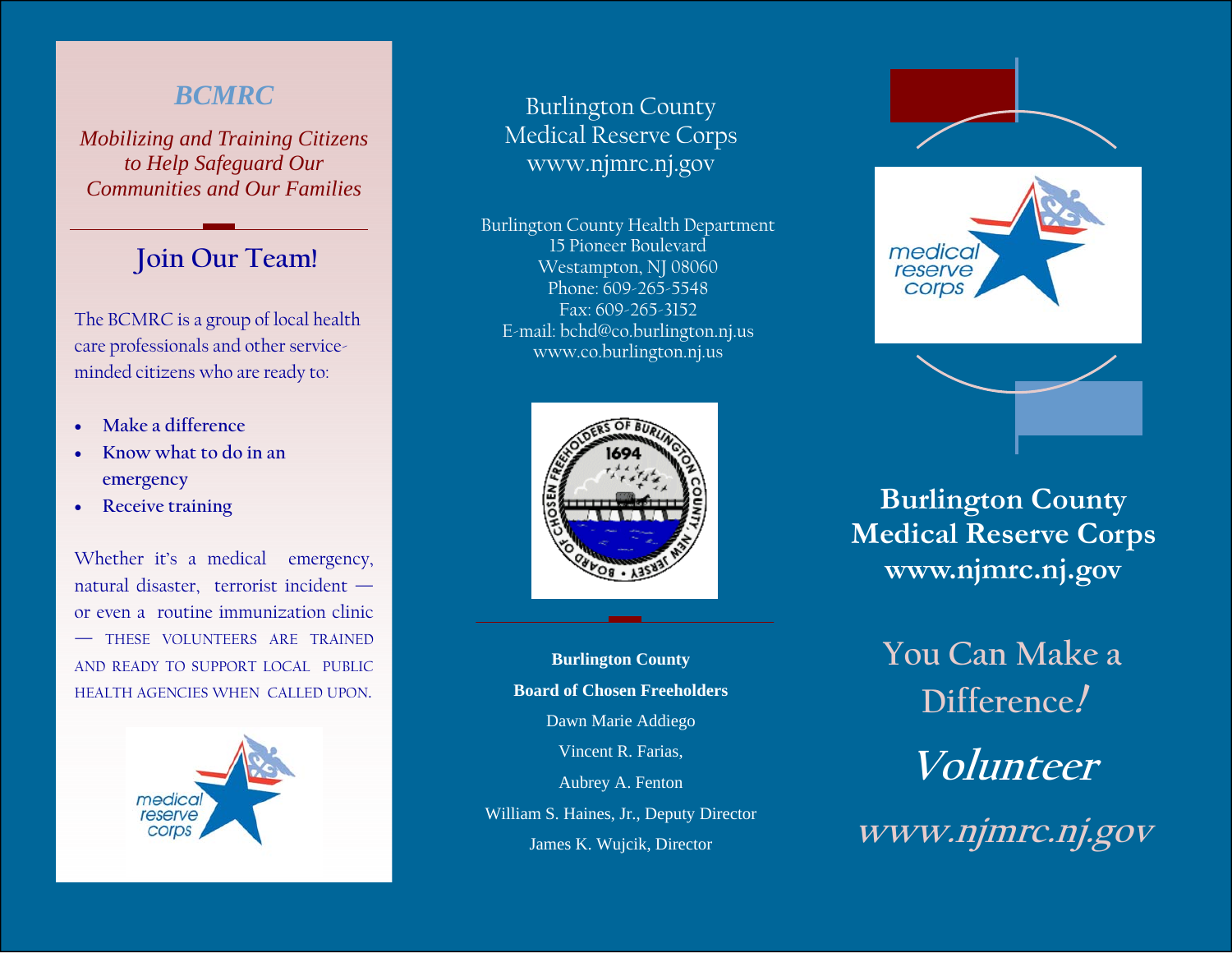### *BCMRC*

*Mobilizing and Training Citizens to Help Safeguard Our Communities and Our Families*

### **Join Our Team!**

The BCMRC is a group of local health care professionals and other serviceminded citizens who are ready to:

- **Make a difference**
- **Know what to do in an emergency**
- **Receive training**

Whether it's a medical emergency, natural disaster, terrorist incident or even a routine immunization clinic — THESE VOLUNTEERS ARE TRAINEDAND READY TO SUPPORT LOCAL PUBLIC HEALTH AGENCIES WHEN CALLED UPON.



### Burlington County Medical Reserve Corps www.njmrc.nj.gov

Burlington County Health Department 15 Pioneer Boulevard Westampton, NJ 08060 Phone: 609-265-5548 Fax: 609-265-3152 E-mail: bchd@co.burlington.nj.us www.co.burlington.nj.us



**Burlington County Board of Chosen Freeholders** Dawn Marie Addiego Vincent R. Farias, Aubrey A. Fenton William S. Haines, Jr., Deputy Director James K. Wujcik, Director



## **Burlington County Medical Reserve Corps www.njmrc.nj.gov**

**You Can Make a Difference! Volunteer www.njmrc.nj.gov**